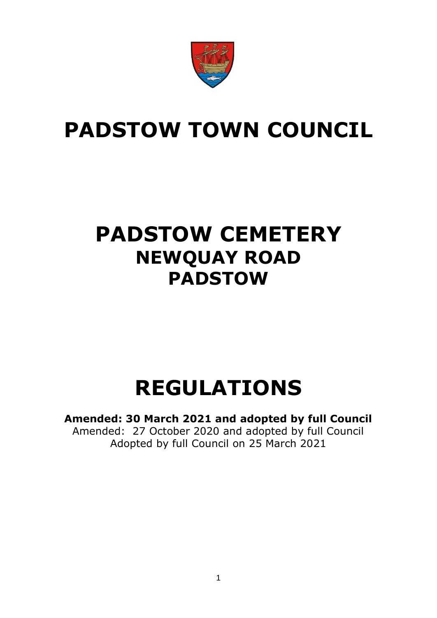

## **PADSTOW TOWN COUNCIL**

### **PADSTOW CEMETERY NEWQUAY ROAD PADSTOW**

# **REGULATIONS**

**Amended: 30 March 2021 and adopted by full Council** Amended: 27 October 2020 and adopted by full Council Adopted by full Council on 25 March 2021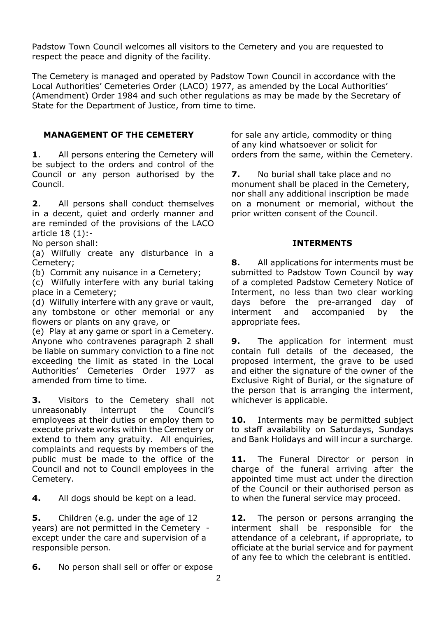Padstow Town Council welcomes all visitors to the Cemetery and you are requested to respect the peace and dignity of the facility.

The Cemetery is managed and operated by Padstow Town Council in accordance with the Local Authorities' Cemeteries Order (LACO) 1977, as amended by the Local Authorities' (Amendment) Order 1984 and such other regulations as may be made by the Secretary of State for the Department of Justice, from time to time.

#### **MANAGEMENT OF THE CEMETERY**

**1**. All persons entering the Cemetery will be subject to the orders and control of the Council or any person authorised by the Council.

**2**. All persons shall conduct themselves in a decent, quiet and orderly manner and are reminded of the provisions of the LACO article 18 (1):-

No person shall:

(a) Wilfully create any disturbance in a Cemetery;

(b) Commit any nuisance in a Cemetery;

(c) Wilfully interfere with any burial taking place in a Cemetery;

(d) Wilfully interfere with any grave or vault, any tombstone or other memorial or any flowers or plants on any grave, or

(e) Play at any game or sport in a Cemetery. Anyone who contravenes paragraph 2 shall be liable on summary conviction to a fine not exceeding the limit as stated in the Local Authorities' Cemeteries Order 1977 as amended from time to time.

**3.** Visitors to the Cemetery shall not unreasonably interrupt the Council's employees at their duties or employ them to execute private works within the Cemetery or extend to them any gratuity. All enquiries, complaints and requests by members of the public must be made to the office of the Council and not to Council employees in the Cemetery.

**4.** All dogs should be kept on a lead.

**5.** Children (e.g. under the age of 12 years) are not permitted in the Cemetery except under the care and supervision of a responsible person.

**6.** No person shall sell or offer or expose

for sale any article, commodity or thing of any kind whatsoever or solicit for orders from the same, within the Cemetery.

**7.** No burial shall take place and no monument shall be placed in the Cemetery, nor shall any additional inscription be made on a monument or memorial, without the prior written consent of the Council.

#### **INTERMENTS**

**8.** All applications for interments must be submitted to Padstow Town Council by way of a completed Padstow Cemetery Notice of Interment, no less than two clear working days before the pre-arranged day of interment and accompanied by the appropriate fees.

**9.** The application for interment must contain full details of the deceased, the proposed interment, the grave to be used and either the signature of the owner of the Exclusive Right of Burial, or the signature of the person that is arranging the interment, whichever is applicable.

**10.** Interments may be permitted subject to staff availability on Saturdays, Sundays and Bank Holidays and will incur a surcharge.

**11.** The Funeral Director or person in charge of the funeral arriving after the appointed time must act under the direction of the Council or their authorised person as to when the funeral service may proceed.

**12.** The person or persons arranging the interment shall be responsible for the attendance of a celebrant, if appropriate, to officiate at the burial service and for payment of any fee to which the celebrant is entitled.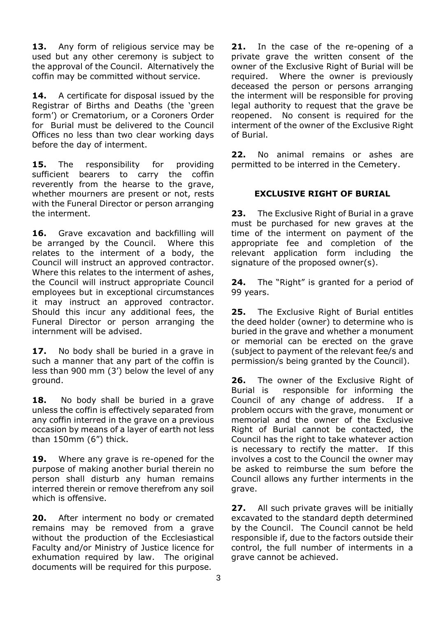13. Any form of religious service may be used but any other ceremony is subject to the approval of the Council. Alternatively the coffin may be committed without service.

**14.** A certificate for disposal issued by the Registrar of Births and Deaths (the 'green form') or Crematorium, or a Coroners Order for Burial must be delivered to the Council Offices no less than two clear working days before the day of interment.

15. The responsibility for providing sufficient bearers to carry the coffin reverently from the hearse to the grave, whether mourners are present or not, rests with the Funeral Director or person arranging the interment.

16. Grave excavation and backfilling will be arranged by the Council. Where this relates to the interment of a body, the Council will instruct an approved contractor. Where this relates to the interment of ashes, the Council will instruct appropriate Council employees but in exceptional circumstances it may instruct an approved contractor. Should this incur any additional fees, the Funeral Director or person arranging the internment will be advised.

17. No body shall be buried in a grave in such a manner that any part of the coffin is less than 900 mm (3') below the level of any ground.

**18.** No body shall be buried in a grave unless the coffin is effectively separated from any coffin interred in the grave on a previous occasion by means of a layer of earth not less than 150mm (6") thick.

**19.** Where any grave is re-opened for the purpose of making another burial therein no person shall disturb any human remains interred therein or remove therefrom any soil which is offensive.

**20.** After interment no body or cremated remains may be removed from a grave without the production of the Ecclesiastical Faculty and/or Ministry of Justice licence for exhumation required by law. The original documents will be required for this purpose.

**21.** In the case of the re-opening of a private grave the written consent of the owner of the Exclusive Right of Burial will be required. Where the owner is previously deceased the person or persons arranging the interment will be responsible for proving legal authority to request that the grave be reopened. No consent is required for the interment of the owner of the Exclusive Right of Burial.

**22.** No animal remains or ashes are permitted to be interred in the Cemetery.

#### **EXCLUSIVE RIGHT OF BURIAL**

**23.** The Exclusive Right of Burial in a grave must be purchased for new graves at the time of the interment on payment of the appropriate fee and completion of the relevant application form including the signature of the proposed owner(s).

**24.** The "Right" is granted for a period of 99 years.

**25.** The Exclusive Right of Burial entitles the deed holder (owner) to determine who is buried in the grave and whether a monument or memorial can be erected on the grave (subject to payment of the relevant fee/s and permission/s being granted by the Council).

**26.** The owner of the Exclusive Right of Burial is responsible for informing the Council of any change of address. If a problem occurs with the grave, monument or memorial and the owner of the Exclusive Right of Burial cannot be contacted, the Council has the right to take whatever action is necessary to rectify the matter. If this involves a cost to the Council the owner may be asked to reimburse the sum before the Council allows any further interments in the grave.

**27.** All such private graves will be initially excavated to the standard depth determined by the Council. The Council cannot be held responsible if, due to the factors outside their control, the full number of interments in a grave cannot be achieved.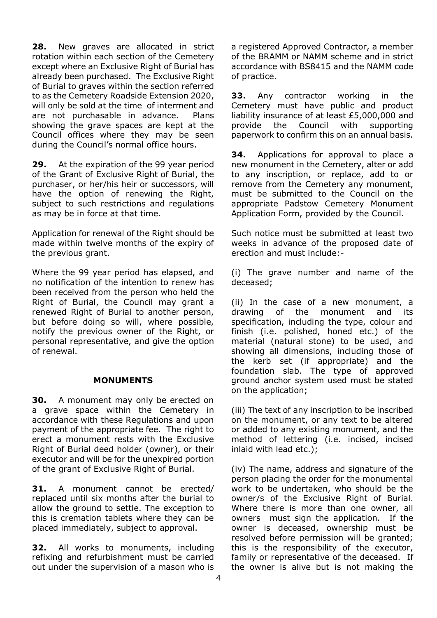**28.** New graves are allocated in strict rotation within each section of the Cemetery except where an Exclusive Right of Burial has already been purchased. The Exclusive Right of Burial to graves within the section referred to as the Cemetery Roadside Extension 2020, will only be sold at the time of interment and are not purchasable in advance. Plans showing the grave spaces are kept at the Council offices where they may be seen during the Council's normal office hours.

**29.** At the expiration of the 99 year period of the Grant of Exclusive Right of Burial, the purchaser, or her/his heir or successors, will have the option of renewing the Right, subject to such restrictions and regulations as may be in force at that time.

Application for renewal of the Right should be made within twelve months of the expiry of the previous grant.

Where the 99 year period has elapsed, and no notification of the intention to renew has been received from the person who held the Right of Burial, the Council may grant a renewed Right of Burial to another person, but before doing so will, where possible, notify the previous owner of the Right, or personal representative, and give the option of renewal.

#### **MONUMENTS**

**30.** A monument may only be erected on a grave space within the Cemetery in accordance with these Regulations and upon payment of the appropriate fee. The right to erect a monument rests with the Exclusive Right of Burial deed holder (owner), or their executor and will be for the unexpired portion of the grant of Exclusive Right of Burial.

**31.** A monument cannot be erected/ replaced until six months after the burial to allow the ground to settle. The exception to this is cremation tablets where they can be placed immediately, subject to approval.

**32.** All works to monuments, including refixing and refurbishment must be carried out under the supervision of a mason who is a registered Approved Contractor, a member of the BRAMM or NAMM scheme and in strict accordance with BS8415 and the NAMM code of practice.

**33.** Any contractor working in the Cemetery must have public and product liability insurance of at least £5,000,000 and provide the Council with supporting paperwork to confirm this on an annual basis.

**34.** Applications for approval to place a new monument in the Cemetery, alter or add to any inscription, or replace, add to or remove from the Cemetery any monument, must be submitted to the Council on the appropriate Padstow Cemetery Monument Application Form, provided by the Council.

Such notice must be submitted at least two weeks in advance of the proposed date of erection and must include:-

(i) The grave number and name of the deceased;

(ii) In the case of a new monument, a drawing of the monument and its specification, including the type, colour and finish (i.e. polished, honed etc.) of the material (natural stone) to be used, and showing all dimensions, including those of the kerb set (if appropriate) and the foundation slab. The type of approved ground anchor system used must be stated on the application;

(iii) The text of any inscription to be inscribed on the monument, or any text to be altered or added to any existing monument, and the method of lettering (i.e. incised, incised inlaid with lead etc.);

(iv) The name, address and signature of the person placing the order for the monumental work to be undertaken, who should be the owner/s of the Exclusive Right of Burial. Where there is more than one owner, all owners must sign the application. If the owner is deceased, ownership must be resolved before permission will be granted; this is the responsibility of the executor, family or representative of the deceased. If the owner is alive but is not making the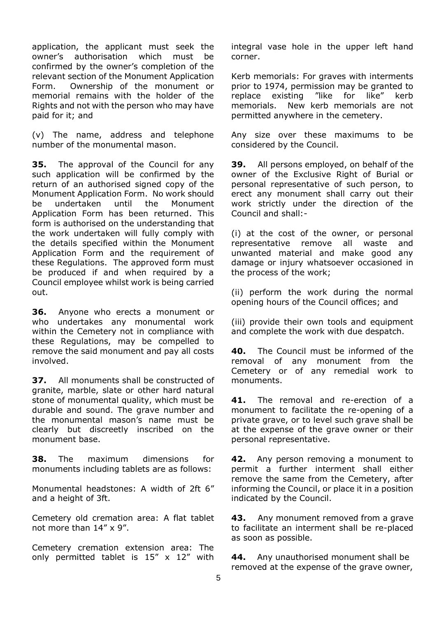application, the applicant must seek the owner's authorisation which must be confirmed by the owner's completion of the relevant section of the Monument Application Form. Ownership of the monument or memorial remains with the holder of the Rights and not with the person who may have paid for it; and

(v) The name, address and telephone number of the monumental mason.

**35.** The approval of the Council for any such application will be confirmed by the return of an authorised signed copy of the Monument Application Form. No work should be undertaken until the Monument Application Form has been returned. This form is authorised on the understanding that the work undertaken will fully comply with the details specified within the Monument Application Form and the requirement of these Regulations. The approved form must be produced if and when required by a Council employee whilst work is being carried out.

**36.** Anyone who erects a monument or who undertakes any monumental work within the Cemetery not in compliance with these Regulations, may be compelled to remove the said monument and pay all costs involved.

**37.** All monuments shall be constructed of granite, marble, slate or other hard natural stone of monumental quality, which must be durable and sound. The grave number and the monumental mason's name must be clearly but discreetly inscribed on the monument base.

**38.** The maximum dimensions for monuments including tablets are as follows:

Monumental headstones: A width of 2ft 6" and a height of 3ft.

Cemetery old cremation area: A flat tablet not more than 14" x 9".

Cemetery cremation extension area: The only permitted tablet is  $15'' \times 12''$  with integral vase hole in the upper left hand corner.

Kerb memorials: For graves with interments prior to 1974, permission may be granted to replace existing "like for like" kerb memorials. New kerb memorials are not permitted anywhere in the cemetery.

Any size over these maximums to be considered by the Council.

**39.** All persons employed, on behalf of the owner of the Exclusive Right of Burial or personal representative of such person, to erect any monument shall carry out their work strictly under the direction of the Council and shall:-

(i) at the cost of the owner, or personal representative remove all waste and unwanted material and make good any damage or injury whatsoever occasioned in the process of the work;

(ii) perform the work during the normal opening hours of the Council offices; and

(iii) provide their own tools and equipment and complete the work with due despatch.

**40.** The Council must be informed of the removal of any monument from the Cemetery or of any remedial work to monuments.

**41.** The removal and re-erection of a monument to facilitate the re-opening of a private grave, or to level such grave shall be at the expense of the grave owner or their personal representative.

**42.** Any person removing a monument to permit a further interment shall either remove the same from the Cemetery, after informing the Council, or place it in a position indicated by the Council.

**43.** Any monument removed from a grave to facilitate an interment shall be re-placed as soon as possible.

**44.** Any unauthorised monument shall be removed at the expense of the grave owner,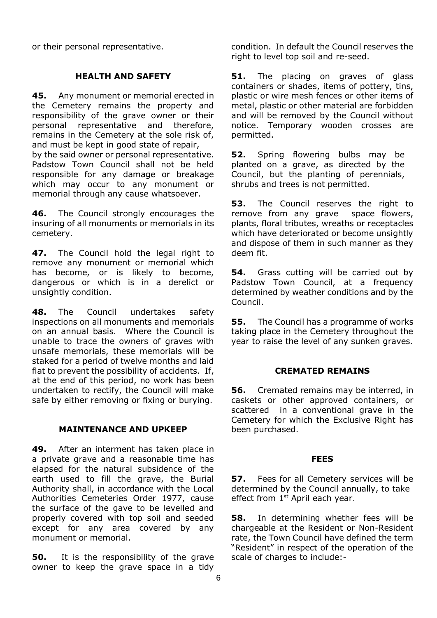or their personal representative.

#### **HEALTH AND SAFETY**

**45.** Any monument or memorial erected in the Cemetery remains the property and responsibility of the grave owner or their personal representative and therefore, remains in the Cemetery at the sole risk of, and must be kept in good state of repair, by the said owner or personal representative. Padstow Town Council shall not be held responsible for any damage or breakage which may occur to any monument or memorial through any cause whatsoever.

**46.** The Council strongly encourages the insuring of all monuments or memorials in its cemetery.

**47.** The Council hold the legal right to remove any monument or memorial which has become, or is likely to become, dangerous or which is in a derelict or unsightly condition.

**48.** The Council undertakes safety inspections on all monuments and memorials on an annual basis. Where the Council is unable to trace the owners of graves with unsafe memorials, these memorials will be staked for a period of twelve months and laid flat to prevent the possibility of accidents. If, at the end of this period, no work has been undertaken to rectify, the Council will make safe by either removing or fixing or burying.

#### **MAINTENANCE AND UPKEEP**

**49.** After an interment has taken place in a private grave and a reasonable time has elapsed for the natural subsidence of the earth used to fill the grave, the Burial Authority shall, in accordance with the Local Authorities Cemeteries Order 1977, cause the surface of the gave to be levelled and properly covered with top soil and seeded except for any area covered by any monument or memorial.

**50.** It is the responsibility of the grave owner to keep the grave space in a tidy condition. In default the Council reserves the right to level top soil and re-seed.

**51.** The placing on graves of glass containers or shades, items of pottery, tins, plastic or wire mesh fences or other items of metal, plastic or other material are forbidden and will be removed by the Council without notice. Temporary wooden crosses are permitted.

**52.** Spring flowering bulbs may be planted on a grave, as directed by the Council, but the planting of perennials, shrubs and trees is not permitted.

**53.** The Council reserves the right to remove from any grave space flowers, plants, floral tributes, wreaths or receptacles which have deteriorated or become unsightly and dispose of them in such manner as they deem fit.

**54.** Grass cutting will be carried out by Padstow Town Council, at a frequency determined by weather conditions and by the Council.

**55.** The Council has a programme of works taking place in the Cemetery throughout the year to raise the level of any sunken graves.

#### **CREMATED REMAINS**

**56.** Cremated remains may be interred, in caskets or other approved containers, or scattered in a conventional grave in the Cemetery for which the Exclusive Right has been purchased.

#### **FEES**

**57.** Fees for all Cemetery services will be determined by the Council annually, to take effect from  $1<sup>st</sup>$  April each year.

**58.** In determining whether fees will be chargeable at the Resident or Non-Resident rate, the Town Council have defined the term "Resident" in respect of the operation of the scale of charges to include:-